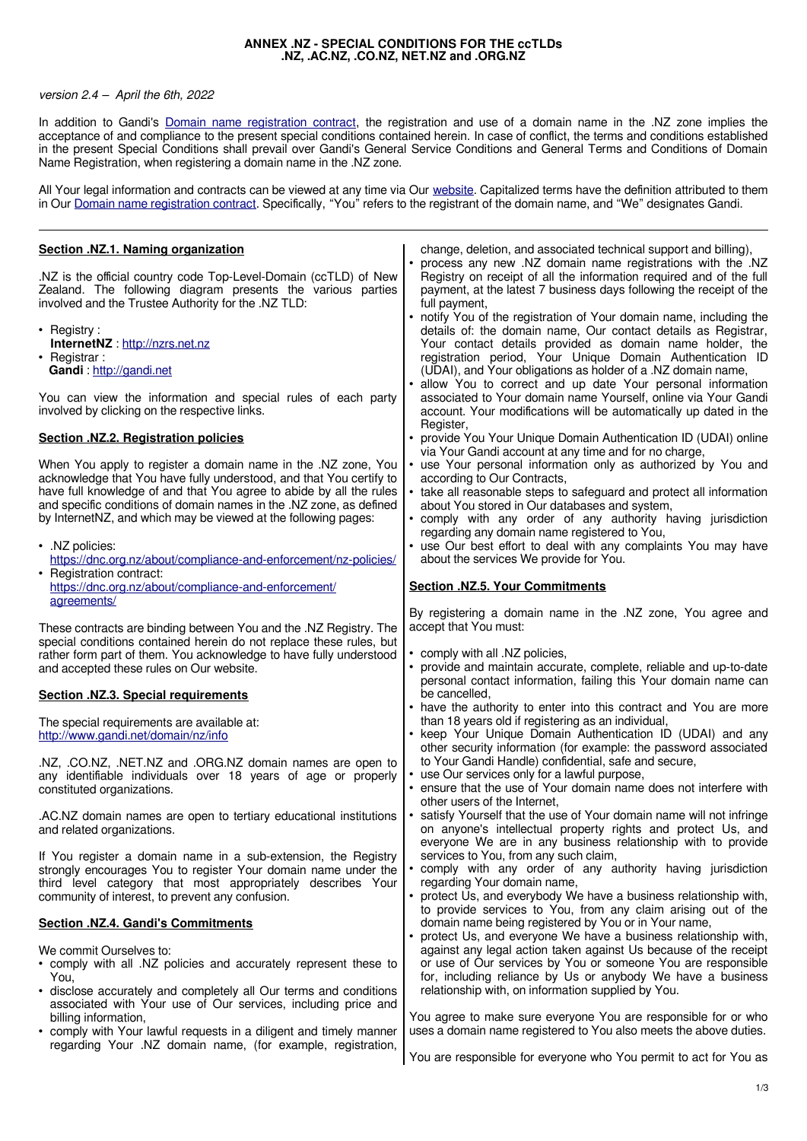## **ANNEX .NZ - SPECIAL CONDITIONS FOR THE ccTLDs .NZ, .AC.NZ, .CO.NZ, NET.NZ and .ORG.NZ**

## version 2.4 – April the 6th, 2022

In addition to Gandi's **Domain name registration contract**, the registration and use of a domain name in the .NZ zone implies the acceptance of and compliance to the present special conditions contained herein. In case of conflict, the terms and conditions established in the present Special Conditions shall prevail over Gandi's General Service Conditions and General Terms and Conditions of Domain Name Registration, when registering a domain name in the .NZ zone.

All Your legal information and contracts can be viewed at any time via Our [website.](http://www.gandi.net/) Capitalized terms have the definition attributed to them in Our [Domain name registration contract.](https://www.gandi.net/en/contracts/terms-of-service) Specifically, "You" refers to the registrant of the domain name, and "We" designates Gandi.

| Section .NZ.1. Naming organization                                                                                                                                                                                                                                                                                                                                                                                                          | change, deletion, and associated technical support and billing),<br>• process any new .NZ domain name registrations with the .NZ                                                                                                                                                                                                                                                                                                                  |
|---------------------------------------------------------------------------------------------------------------------------------------------------------------------------------------------------------------------------------------------------------------------------------------------------------------------------------------------------------------------------------------------------------------------------------------------|---------------------------------------------------------------------------------------------------------------------------------------------------------------------------------------------------------------------------------------------------------------------------------------------------------------------------------------------------------------------------------------------------------------------------------------------------|
| .NZ is the official country code Top-Level-Domain (ccTLD) of New<br>Zealand. The following diagram presents the various parties<br>involved and the Trustee Authority for the .NZ TLD:                                                                                                                                                                                                                                                      | Registry on receipt of all the information required and of the full<br>payment, at the latest 7 business days following the receipt of the<br>full payment,                                                                                                                                                                                                                                                                                       |
| • Registry:<br>InternetNZ: http://nzrs.net.nz<br>• Registrar:<br>Gandi: http://gandi.net                                                                                                                                                                                                                                                                                                                                                    | • notify You of the registration of Your domain name, including the<br>details of: the domain name, Our contact details as Registrar,<br>Your contact details provided as domain name holder, the<br>registration period, Your Unique Domain Authentication ID<br>(UDAI), and Your obligations as holder of a .NZ domain name,                                                                                                                    |
| You can view the information and special rules of each party<br>involved by clicking on the respective links.                                                                                                                                                                                                                                                                                                                               | • allow You to correct and up date Your personal information<br>associated to Your domain name Yourself, online via Your Gandi<br>account. Your modifications will be automatically up dated in the<br>Register,                                                                                                                                                                                                                                  |
| <b>Section .NZ.2. Registration policies</b>                                                                                                                                                                                                                                                                                                                                                                                                 | • provide You Your Unique Domain Authentication ID (UDAI) online<br>via Your Gandi account at any time and for no charge,                                                                                                                                                                                                                                                                                                                         |
| When You apply to register a domain name in the .NZ zone, You<br>acknowledge that You have fully understood, and that You certify to<br>have full knowledge of and that You agree to abide by all the rules<br>and specific conditions of domain names in the .NZ zone, as defined<br>by InternetNZ, and which may be viewed at the following pages:<br>· .NZ policies:<br>https://dnc.org.nz/about/compliance-and-enforcement/nz-policies/ | • use Your personal information only as authorized by You and<br>according to Our Contracts,<br>• take all reasonable steps to safeguard and protect all information<br>about You stored in Our databases and system,<br>• comply with any order of any authority having jurisdiction<br>regarding any domain name registered to You,<br>• use Our best effort to deal with any complaints You may have<br>about the services We provide for You. |
| • Registration contract:<br>https://dnc.org.nz/about/compliance-and-enforcement/<br>agreements/                                                                                                                                                                                                                                                                                                                                             | <b>Section .NZ.5. Your Commitments</b>                                                                                                                                                                                                                                                                                                                                                                                                            |
| These contracts are binding between You and the .NZ Registry. The<br>special conditions contained herein do not replace these rules, but<br>rather form part of them. You acknowledge to have fully understood<br>and accepted these rules on Our website.                                                                                                                                                                                  | By registering a domain name in the .NZ zone, You agree and<br>accept that You must:<br>• comply with all .NZ policies,<br>• provide and maintain accurate, complete, reliable and up-to-date<br>personal contact information, failing this Your domain name can                                                                                                                                                                                  |
| <b>Section .NZ.3. Special requirements</b>                                                                                                                                                                                                                                                                                                                                                                                                  | be cancelled.<br>• have the authority to enter into this contract and You are more                                                                                                                                                                                                                                                                                                                                                                |
| The special requirements are available at:<br>http://www.gandi.net/domain/nz/info                                                                                                                                                                                                                                                                                                                                                           | than 18 years old if registering as an individual,<br>• keep Your Unique Domain Authentication ID (UDAI) and any<br>other security information (for example: the password associated                                                                                                                                                                                                                                                              |
| .NZ, .CO.NZ, .NET.NZ and .ORG.NZ domain names are open to<br>any identifiable individuals over 18 years of age or properly<br>constituted organizations.                                                                                                                                                                                                                                                                                    | to Your Gandi Handle) confidential, safe and secure,<br>• use Our services only for a lawful purpose,<br>• ensure that the use of Your domain name does not interfere with                                                                                                                                                                                                                                                                        |
| .AC.NZ domain names are open to tertiary educational institutions<br>and related organizations.                                                                                                                                                                                                                                                                                                                                             | other users of the Internet,<br>• satisfy Yourself that the use of Your domain name will not infringe<br>on anyone's intellectual property rights and protect Us, and<br>everyone We are in any business relationship with to provide                                                                                                                                                                                                             |
| If You register a domain name in a sub-extension, the Registry<br>strongly encourages You to register Your domain name under the<br>third level category that most appropriately describes Your<br>community of interest, to prevent any confusion.                                                                                                                                                                                         | services to You, from any such claim,<br>• comply with any order of any authority having jurisdiction<br>regarding Your domain name,<br>• protect Us, and everybody We have a business relationship with,<br>to provide services to You, from any claim arising out of the                                                                                                                                                                        |
| <b>Section .NZ.4. Gandi's Commitments</b>                                                                                                                                                                                                                                                                                                                                                                                                   | domain name being registered by You or in Your name,<br>• protect Us, and everyone We have a business relationship with,                                                                                                                                                                                                                                                                                                                          |
| We commit Ourselves to:<br>• comply with all .NZ policies and accurately represent these to<br>You,<br>• disclose accurately and completely all Our terms and conditions                                                                                                                                                                                                                                                                    | against any legal action taken against Us because of the receipt<br>or use of Our services by You or someone You are responsible<br>for, including reliance by Us or anybody We have a business<br>relationship with, on information supplied by You.                                                                                                                                                                                             |
|                                                                                                                                                                                                                                                                                                                                                                                                                                             |                                                                                                                                                                                                                                                                                                                                                                                                                                                   |
| associated with Your use of Our services, including price and<br>billing information,<br>• comply with Your lawful requests in a diligent and timely manner                                                                                                                                                                                                                                                                                 | You agree to make sure everyone You are responsible for or who<br>uses a domain name registered to You also meets the above duties.                                                                                                                                                                                                                                                                                                               |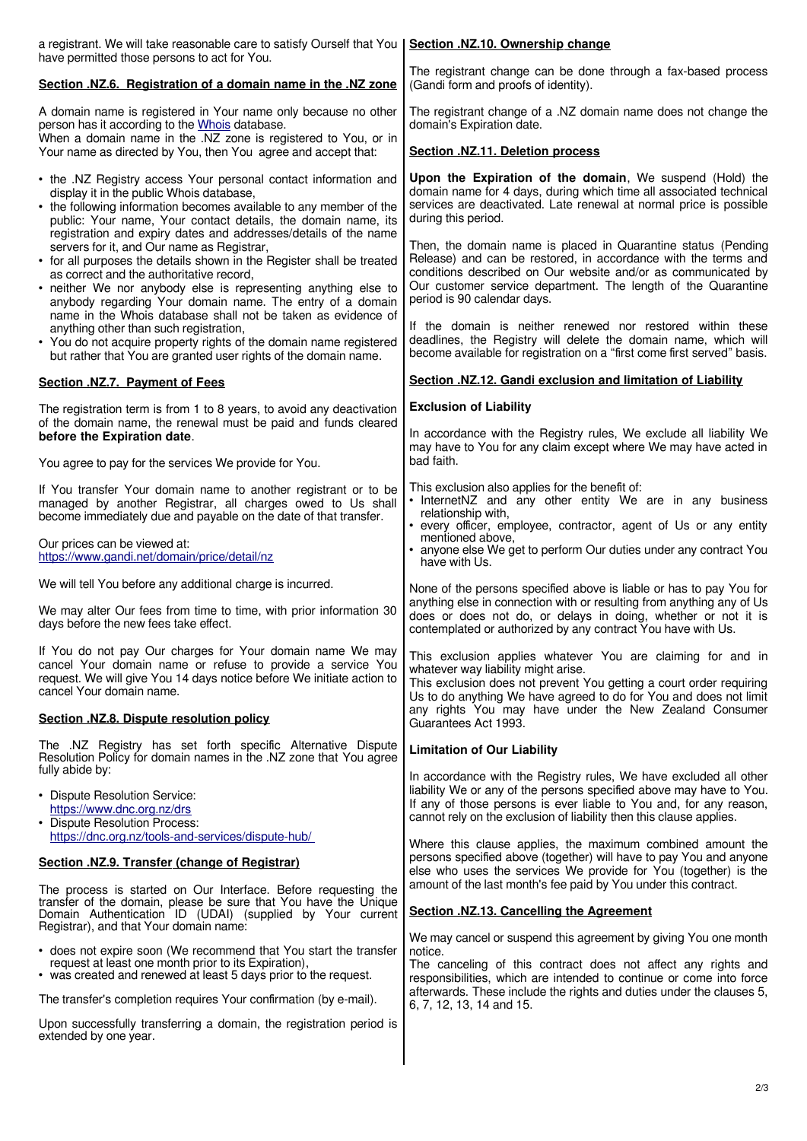| a registrant. We will take reasonable care to satisfy Ourself that You   Section .NZ.10. Ownership change<br>have permitted those persons to act for You.                                                                                                                                                                                                      |                                                                                                                                                                                                                                                                                                  |
|----------------------------------------------------------------------------------------------------------------------------------------------------------------------------------------------------------------------------------------------------------------------------------------------------------------------------------------------------------------|--------------------------------------------------------------------------------------------------------------------------------------------------------------------------------------------------------------------------------------------------------------------------------------------------|
| Section .NZ.6. Registration of a domain name in the .NZ zone                                                                                                                                                                                                                                                                                                   | The registrant change can be done through a fax-based process<br>(Gandi form and proofs of identity).                                                                                                                                                                                            |
| A domain name is registered in Your name only because no other<br>person has it according to the Whois database.<br>When a domain name in the .NZ zone is registered to You, or in<br>Your name as directed by You, then You agree and accept that:                                                                                                            | The registrant change of a .NZ domain name does not change the<br>domain's Expiration date.                                                                                                                                                                                                      |
|                                                                                                                                                                                                                                                                                                                                                                | Section .NZ.11. Deletion process                                                                                                                                                                                                                                                                 |
| • the .NZ Registry access Your personal contact information and<br>display it in the public Whois database,<br>• the following information becomes available to any member of the<br>public: Your name, Your contact details, the domain name, its<br>registration and expiry dates and addresses/details of the name                                          | Upon the Expiration of the domain, We suspend (Hold) the<br>domain name for 4 days, during which time all associated technical<br>services are deactivated. Late renewal at normal price is possible<br>during this period.                                                                      |
| servers for it, and Our name as Registrar,<br>• for all purposes the details shown in the Register shall be treated<br>as correct and the authoritative record,<br>• neither We nor anybody else is representing anything else to<br>anybody regarding Your domain name. The entry of a domain<br>name in the Whois database shall not be taken as evidence of | Then, the domain name is placed in Quarantine status (Pending<br>Release) and can be restored, in accordance with the terms and<br>conditions described on Our website and/or as communicated by<br>Our customer service department. The length of the Quarantine<br>period is 90 calendar days. |
| anything other than such registration,<br>• You do not acquire property rights of the domain name registered<br>but rather that You are granted user rights of the domain name.                                                                                                                                                                                | If the domain is neither renewed nor restored within these<br>deadlines, the Registry will delete the domain name, which will<br>become available for registration on a "first come first served" basis.                                                                                         |
| Section .NZ.7. Payment of Fees                                                                                                                                                                                                                                                                                                                                 | Section .NZ.12. Gandi exclusion and limitation of Liability                                                                                                                                                                                                                                      |
| The registration term is from 1 to 8 years, to avoid any deactivation<br>of the domain name, the renewal must be paid and funds cleared                                                                                                                                                                                                                        | <b>Exclusion of Liability</b>                                                                                                                                                                                                                                                                    |
| before the Expiration date.<br>You agree to pay for the services We provide for You.                                                                                                                                                                                                                                                                           | In accordance with the Registry rules, We exclude all liability We<br>may have to You for any claim except where We may have acted in<br>bad faith.                                                                                                                                              |
| If You transfer Your domain name to another registrant or to be                                                                                                                                                                                                                                                                                                | This exclusion also applies for the benefit of:                                                                                                                                                                                                                                                  |
| managed by another Registrar, all charges owed to Us shall<br>become immediately due and payable on the date of that transfer.                                                                                                                                                                                                                                 | • InternetNZ and any other entity We are in any business<br>relationship with,                                                                                                                                                                                                                   |
| Our prices can be viewed at:<br>https://www.gandi.net/domain/price/detail/nz                                                                                                                                                                                                                                                                                   | • every officer, employee, contractor, agent of Us or any entity<br>mentioned above,<br>• anyone else We get to perform Our duties under any contract You<br>have with Us.                                                                                                                       |
| We will tell You before any additional charge is incurred.                                                                                                                                                                                                                                                                                                     | None of the persons specified above is liable or has to pay You for                                                                                                                                                                                                                              |
| We may alter Our fees from time to time, with prior information 30<br>days before the new fees take effect.                                                                                                                                                                                                                                                    | anything else in connection with or resulting from anything any of Us<br>does or does not do, or delays in doing, whether or not it is<br>contemplated or authorized by any contract You have with Us.                                                                                           |
| If You do not pay Our charges for Your domain name We may<br>cancel Your domain name or refuse to provide a service You<br>request. We will give You 14 days notice before We initiate action to<br>cancel Your domain name.                                                                                                                                   | This exclusion applies whatever You are claiming for and in<br>whatever way liability might arise.<br>This exclusion does not prevent You getting a court order requiring<br>Us to do anything We have agreed to do for You and does not limit                                                   |
| Section .NZ.8. Dispute resolution policy                                                                                                                                                                                                                                                                                                                       | any rights You may have under the New Zealand Consumer<br>Guarantees Act 1993.                                                                                                                                                                                                                   |
| The .NZ Registry has set forth specific Alternative Dispute<br>Resolution Policy for domain names in the .NZ zone that You agree<br>fully abide by:                                                                                                                                                                                                            | <b>Limitation of Our Liability</b>                                                                                                                                                                                                                                                               |
| • Dispute Resolution Service:<br>https://www.dnc.org.nz/drs<br>• Dispute Resolution Process:<br>https://dnc.org.nz/tools-and-services/dispute-hub/                                                                                                                                                                                                             | In accordance with the Registry rules, We have excluded all other<br>liability We or any of the persons specified above may have to You.<br>If any of those persons is ever liable to You and, for any reason,<br>cannot rely on the exclusion of liability then this clause applies.            |
| Section .NZ.9. Transfer (change of Registrar)                                                                                                                                                                                                                                                                                                                  | Where this clause applies, the maximum combined amount the<br>persons specified above (together) will have to pay You and anyone<br>else who uses the services We provide for You (together) is the                                                                                              |
| The process is started on Our Interface. Before requesting the<br>transfer of the domain, please be sure that You have the Unique                                                                                                                                                                                                                              | amount of the last month's fee paid by You under this contract.                                                                                                                                                                                                                                  |
| Domain Authentication ID (UDAI) (supplied by Your current<br>Registrar), and that Your domain name:                                                                                                                                                                                                                                                            | Section .NZ.13. Cancelling the Agreement<br>We may cancel or suspend this agreement by giving You one month                                                                                                                                                                                      |
| • does not expire soon (We recommend that You start the transfer<br>request at least one month prior to its Expiration),<br>• was created and renewed at least 5 days prior to the request.                                                                                                                                                                    | notice.<br>The canceling of this contract does not affect any rights and<br>responsibilities, which are intended to continue or come into force                                                                                                                                                  |
| The transfer's completion requires Your confirmation (by e-mail).                                                                                                                                                                                                                                                                                              | afterwards. These include the rights and duties under the clauses 5,<br>6, 7, 12, 13, 14 and 15.                                                                                                                                                                                                 |
| Upon successfully transferring a domain, the registration period is<br>extended by one year.                                                                                                                                                                                                                                                                   |                                                                                                                                                                                                                                                                                                  |
|                                                                                                                                                                                                                                                                                                                                                                |                                                                                                                                                                                                                                                                                                  |